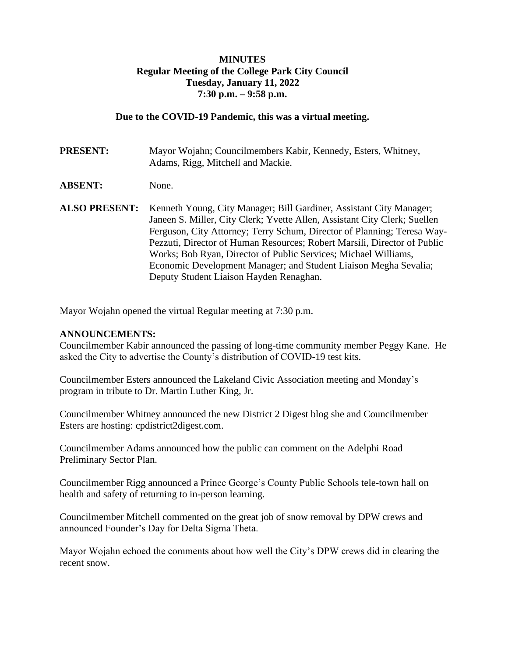# **MINUTES Regular Meeting of the College Park City Council Tuesday, January 11, 2022 7:30 p.m. – 9:58 p.m.**

#### **Due to the COVID-19 Pandemic, this was a virtual meeting.**

**PRESENT:** Mayor Wojahn; Councilmembers Kabir, Kennedy, Esters, Whitney, Adams, Rigg, Mitchell and Mackie. **ABSENT:** None. **ALSO PRESENT:** Kenneth Young, City Manager; Bill Gardiner, Assistant City Manager; Janeen S. Miller, City Clerk; Yvette Allen, Assistant City Clerk; Suellen Ferguson, City Attorney; Terry Schum, Director of Planning; Teresa Way-Pezzuti, Director of Human Resources; Robert Marsili, Director of Public Works; Bob Ryan, Director of Public Services; Michael Williams, Economic Development Manager; and Student Liaison Megha Sevalia; Deputy Student Liaison Hayden Renaghan.

Mayor Wojahn opened the virtual Regular meeting at 7:30 p.m.

#### **ANNOUNCEMENTS:**

Councilmember Kabir announced the passing of long-time community member Peggy Kane. He asked the City to advertise the County's distribution of COVID-19 test kits.

Councilmember Esters announced the Lakeland Civic Association meeting and Monday's program in tribute to Dr. Martin Luther King, Jr.

Councilmember Whitney announced the new District 2 Digest blog she and Councilmember Esters are hosting: cpdistrict2digest.com.

Councilmember Adams announced how the public can comment on the Adelphi Road Preliminary Sector Plan.

Councilmember Rigg announced a Prince George's County Public Schools tele-town hall on health and safety of returning to in-person learning.

Councilmember Mitchell commented on the great job of snow removal by DPW crews and announced Founder's Day for Delta Sigma Theta.

Mayor Wojahn echoed the comments about how well the City's DPW crews did in clearing the recent snow.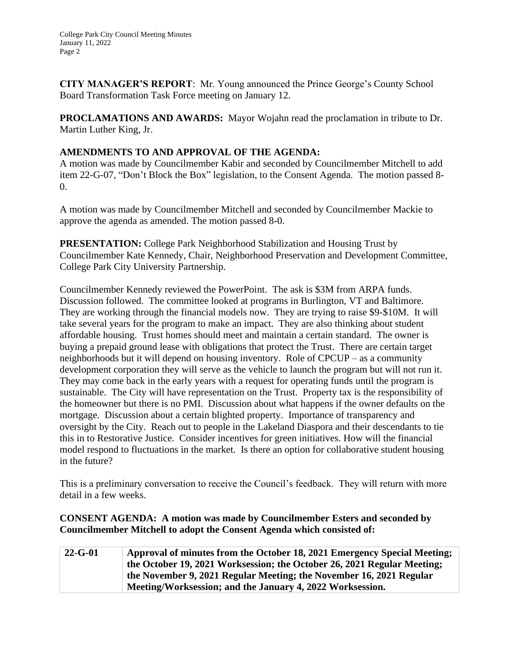**CITY MANAGER'S REPORT**: Mr. Young announced the Prince George's County School Board Transformation Task Force meeting on January 12.

**PROCLAMATIONS AND AWARDS:** Mayor Wojahn read the proclamation in tribute to Dr. Martin Luther King, Jr.

# **AMENDMENTS TO AND APPROVAL OF THE AGENDA:**

A motion was made by Councilmember Kabir and seconded by Councilmember Mitchell to add item 22-G-07, "Don't Block the Box" legislation, to the Consent Agenda. The motion passed 8- 0.

A motion was made by Councilmember Mitchell and seconded by Councilmember Mackie to approve the agenda as amended. The motion passed 8-0.

**PRESENTATION:** College Park Neighborhood Stabilization and Housing Trust by Councilmember Kate Kennedy, Chair, Neighborhood Preservation and Development Committee, College Park City University Partnership.

Councilmember Kennedy reviewed the PowerPoint. The ask is \$3M from ARPA funds. Discussion followed. The committee looked at programs in Burlington, VT and Baltimore. They are working through the financial models now. They are trying to raise \$9-\$10M. It will take several years for the program to make an impact. They are also thinking about student affordable housing. Trust homes should meet and maintain a certain standard. The owner is buying a prepaid ground lease with obligations that protect the Trust. There are certain target neighborhoods but it will depend on housing inventory. Role of CPCUP – as a community development corporation they will serve as the vehicle to launch the program but will not run it. They may come back in the early years with a request for operating funds until the program is sustainable. The City will have representation on the Trust. Property tax is the responsibility of the homeowner but there is no PMI. Discussion about what happens if the owner defaults on the mortgage. Discussion about a certain blighted property. Importance of transparency and oversight by the City. Reach out to people in the Lakeland Diaspora and their descendants to tie this in to Restorative Justice. Consider incentives for green initiatives. How will the financial model respond to fluctuations in the market. Is there an option for collaborative student housing in the future?

This is a preliminary conversation to receive the Council's feedback. They will return with more detail in a few weeks.

**CONSENT AGENDA: A motion was made by Councilmember Esters and seconded by Councilmember Mitchell to adopt the Consent Agenda which consisted of:**

**22-G-01 Approval of minutes from the October 18, 2021 Emergency Special Meeting; the October 19, 2021 Worksession; the October 26, 2021 Regular Meeting; the November 9, 2021 Regular Meeting; the November 16, 2021 Regular Meeting/Worksession; and the January 4, 2022 Worksession.**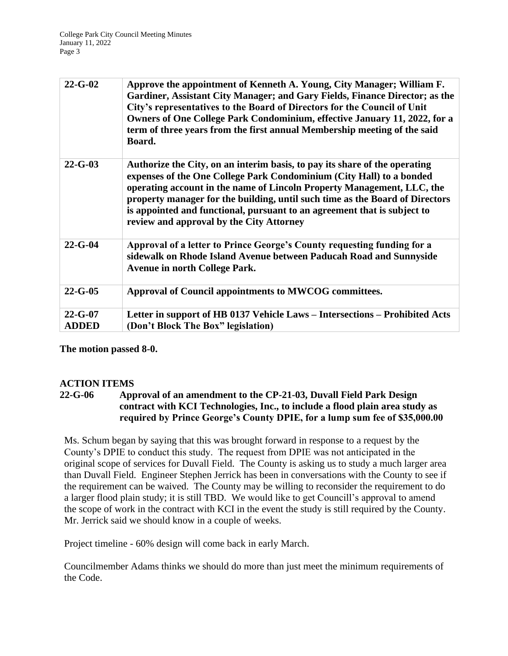| $22 - G - 02$                 | Approve the appointment of Kenneth A. Young, City Manager; William F.<br>Gardiner, Assistant City Manager; and Gary Fields, Finance Director; as the<br>City's representatives to the Board of Directors for the Council of Unit<br>Owners of One College Park Condominium, effective January 11, 2022, for a<br>term of three years from the first annual Membership meeting of the said<br>Board.                                  |
|-------------------------------|--------------------------------------------------------------------------------------------------------------------------------------------------------------------------------------------------------------------------------------------------------------------------------------------------------------------------------------------------------------------------------------------------------------------------------------|
| $22 - G - 03$                 | Authorize the City, on an interim basis, to pay its share of the operating<br>expenses of the One College Park Condominium (City Hall) to a bonded<br>operating account in the name of Lincoln Property Management, LLC, the<br>property manager for the building, until such time as the Board of Directors<br>is appointed and functional, pursuant to an agreement that is subject to<br>review and approval by the City Attorney |
| $22 - G - 04$                 | Approval of a letter to Prince George's County requesting funding for a<br>sidewalk on Rhode Island Avenue between Paducah Road and Sunnyside<br><b>Avenue in north College Park.</b>                                                                                                                                                                                                                                                |
| $22 - G - 05$                 | Approval of Council appointments to MWCOG committees.                                                                                                                                                                                                                                                                                                                                                                                |
| $22 - G - 07$<br><b>ADDED</b> | Letter in support of HB 0137 Vehicle Laws - Intersections - Prohibited Acts<br>(Don't Block The Box" legislation)                                                                                                                                                                                                                                                                                                                    |

**The motion passed 8-0.**

# **ACTION ITEMS**

# **22-G-06 Approval of an amendment to the CP-21-03, Duvall Field Park Design contract with KCI Technologies, Inc., to include a flood plain area study as required by Prince George's County DPIE, for a lump sum fee of \$35,000.00**

Ms. Schum began by saying that this was brought forward in response to a request by the County's DPIE to conduct this study. The request from DPIE was not anticipated in the original scope of services for Duvall Field. The County is asking us to study a much larger area than Duvall Field. Engineer Stephen Jerrick has been in conversations with the County to see if the requirement can be waived. The County may be willing to reconsider the requirement to do a larger flood plain study; it is still TBD. We would like to get Councill's approval to amend the scope of work in the contract with KCI in the event the study is still required by the County. Mr. Jerrick said we should know in a couple of weeks.

Project timeline - 60% design will come back in early March.

Councilmember Adams thinks we should do more than just meet the minimum requirements of the Code.